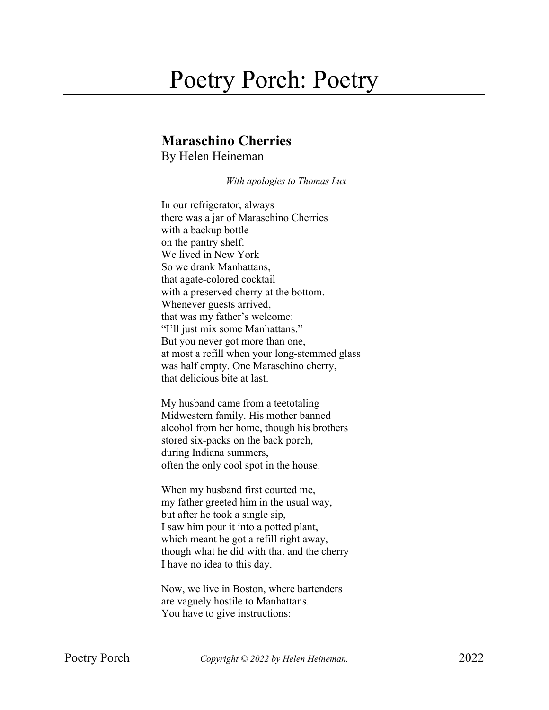## Poetry Porch: Poetry

## **Maraschino Cherries**

By Helen Heineman

*With apologies to Thomas Lux*

In our refrigerator, always there was a jar of Maraschino Cherries with a backup bottle on the pantry shelf. We lived in New York So we drank Manhattans, that agate-colored cocktail with a preserved cherry at the bottom. Whenever guests arrived, that was my father's welcome: "I'll just mix some Manhattans." But you never got more than one, at most a refill when your long-stemmed glass was half empty. One Maraschino cherry, that delicious bite at last.

My husband came from a teetotaling Midwestern family. His mother banned alcohol from her home, though his brothers stored six-packs on the back porch, during Indiana summers, often the only cool spot in the house.

When my husband first courted me, my father greeted him in the usual way, but after he took a single sip, I saw him pour it into a potted plant, which meant he got a refill right away, though what he did with that and the cherry I have no idea to this day.

Now, we live in Boston, where bartenders are vaguely hostile to Manhattans. You have to give instructions: